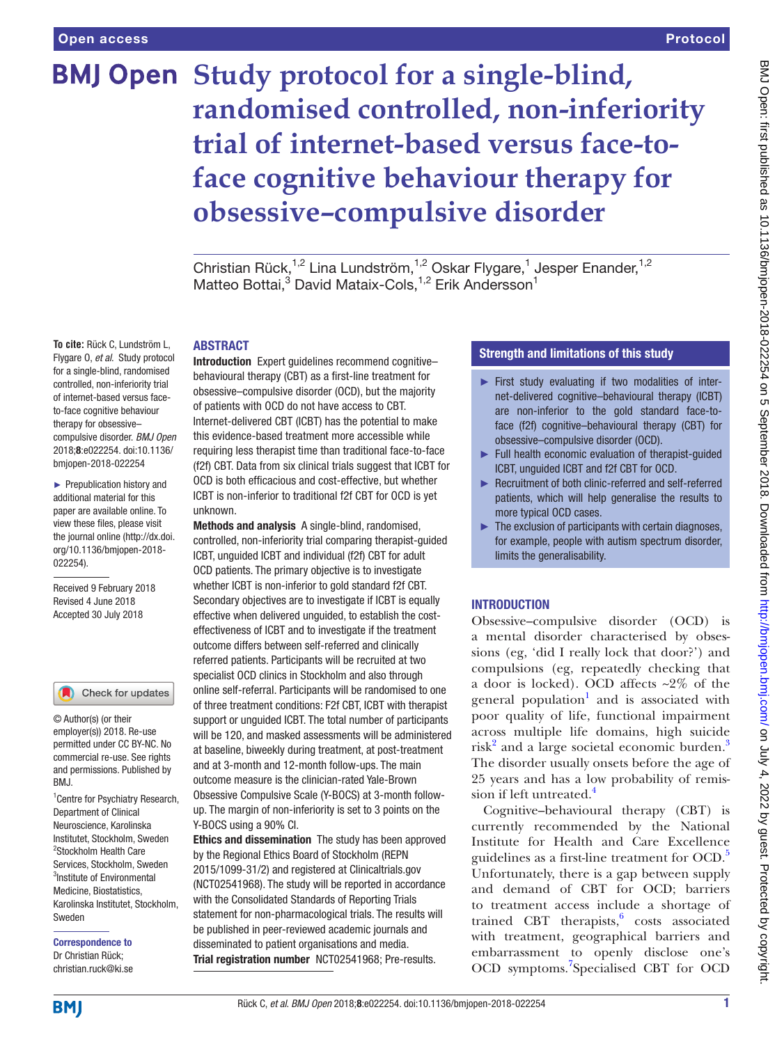# **BMJ Open** Study protocol for a single-blind, **randomised controlled, non-inferiority trial of internet-based versus face-toface cognitive behaviour therapy for obsessive–compulsive disorder**

Christian Rück,<sup>1,2</sup> Lina Lundström,<sup>1,2</sup> Oskar Flygare,<sup>1</sup> Jesper Enander,<sup>1,2</sup> Matteo Bottai,<sup>3</sup> David Mataix-Cols,<sup>1,2</sup> Erik Andersson<sup>1</sup>

## **ABSTRACT**

**To cite:** Rück C, Lundström L, Flygare O, *et al*. Study protocol for a single-blind, randomised controlled, non-inferiority trial of internet-based versus faceto-face cognitive behaviour therapy for obsessive– compulsive disorder. *BMJ Open* 2018;8:e022254. doi:10.1136/ bmjopen-2018-022254

► Prepublication history and additional material for this paper are available online. To view these files, please visit the journal online [\(http://dx.doi.](http://dx.doi.org/10.1136/bmjopen-2018-022254) [org/10.1136/bmjopen-2018-](http://dx.doi.org/10.1136/bmjopen-2018-022254) [022254\)](http://dx.doi.org/10.1136/bmjopen-2018-022254).

Received 9 February 2018 Revised 4 June 2018 Accepted 30 July 2018

## Check for updates

© Author(s) (or their employer(s)) 2018. Re-use permitted under CC BY-NC. No commercial re-use. See rights and permissions. Published by RM<sub>J</sub>

<sup>1</sup> Centre for Psychiatry Research, Department of Clinical Neuroscience, Karolinska Institutet, Stockholm, Sweden <sup>2</sup>Stockholm Health Care Services, Stockholm, Sweden <sup>3</sup>Institute of Environmental Medicine, Biostatistics, Karolinska Institutet, Stockholm, Sweden

Correspondence to Dr Christian Rück; christian.ruck@ki.se

Introduction Expert guidelines recommend cognitive– behavioural therapy (CBT) as a first-line treatment for obsessive–compulsive disorder (OCD), but the majority of patients with OCD do not have access to CBT. Internet-delivered CBT (ICBT) has the potential to make this evidence-based treatment more accessible while requiring less therapist time than traditional face-to-face (f2f) CBT. Data from six clinical trials suggest that ICBT for OCD is both efficacious and cost-effective, but whether ICBT is non-inferior to traditional f2f CBT for OCD is yet unknown.

Methods and analysis A single-blind, randomised, controlled, non-inferiority trial comparing therapist-guided ICBT, unguided ICBT and individual (f2f) CBT for adult OCD patients. The primary objective is to investigate whether ICBT is non-inferior to gold standard f2f CBT. Secondary objectives are to investigate if ICBT is equally effective when delivered unguided, to establish the costeffectiveness of ICBT and to investigate if the treatment outcome differs between self-referred and clinically referred patients. Participants will be recruited at two specialist OCD clinics in Stockholm and also through online self-referral. Participants will be randomised to one of three treatment conditions: F2f CBT, ICBT with therapist support or unguided ICBT. The total number of participants will be 120, and masked assessments will be administered at baseline, biweekly during treatment, at post-treatment and at 3-month and 12-month follow-ups. The main outcome measure is the clinician-rated Yale-Brown Obsessive Compulsive Scale (Y-BOCS) at 3-month followup. The margin of non-inferiority is set to 3 points on the Y-BOCS using a 90% CI.

Ethics and dissemination The study has been approved by the Regional Ethics Board of Stockholm (REPN 2015/1099-31/2) and registered at Clinicaltrials.gov (NCT02541968). The study will be reported in accordance with the Consolidated Standards of Reporting Trials statement for non-pharmacological trials. The results will be published in peer-reviewed academic journals and disseminated to patient organisations and media. Trial registration number <NCT02541968>; Pre-results.

# Strength and limitations of this study

- ► First study evaluating if two modalities of internet-delivered cognitive–behavioural therapy (ICBT) are non-inferior to the gold standard face-toface (f2f) cognitive–behavioural therapy (CBT) for obsessive–compulsive disorder (OCD).
- ► Full health economic evaluation of therapist-guided ICBT, unguided ICBT and f2f CBT for OCD.
- ► Recruitment of both clinic-referred and self-referred patients, which will help generalise the results to more typical OCD cases.
- $\blacktriangleright$  The exclusion of participants with certain diagnoses, for example, people with autism spectrum disorder, limits the generalisability.

# **INTRODUCTION**

Obsessive–compulsive disorder (OCD) is a mental disorder characterised by obsessions (eg, 'did I really lock that door?') and compulsions (eg, repeatedly checking that a door is locked). OCD affects  $\sim 2\%$  of the general population<sup>[1](#page-6-0)</sup> and is associated with poor quality of life, functional impairment across multiple life domains, high suicide risk<sup>[2](#page-6-1)</sup> and a large societal economic burden.<sup>3</sup> The disorder usually onsets before the age of 25 years and has a low probability of remission if left untreated. $4$ 

Cognitive–behavioural therapy (CBT) is currently recommended by the National Institute for Health and Care Excellence guidelines as a first-line treatment for OCD.<sup>[5](#page-6-4)</sup> Unfortunately, there is a gap between supply and demand of CBT for OCD; barriers to treatment access include a shortage of trained CBT therapists, $6$  costs associated with treatment, geographical barriers and embarrassment to openly disclose one's OCD symptoms.<sup>[7](#page-6-6)</sup>Specialised CBT for OCD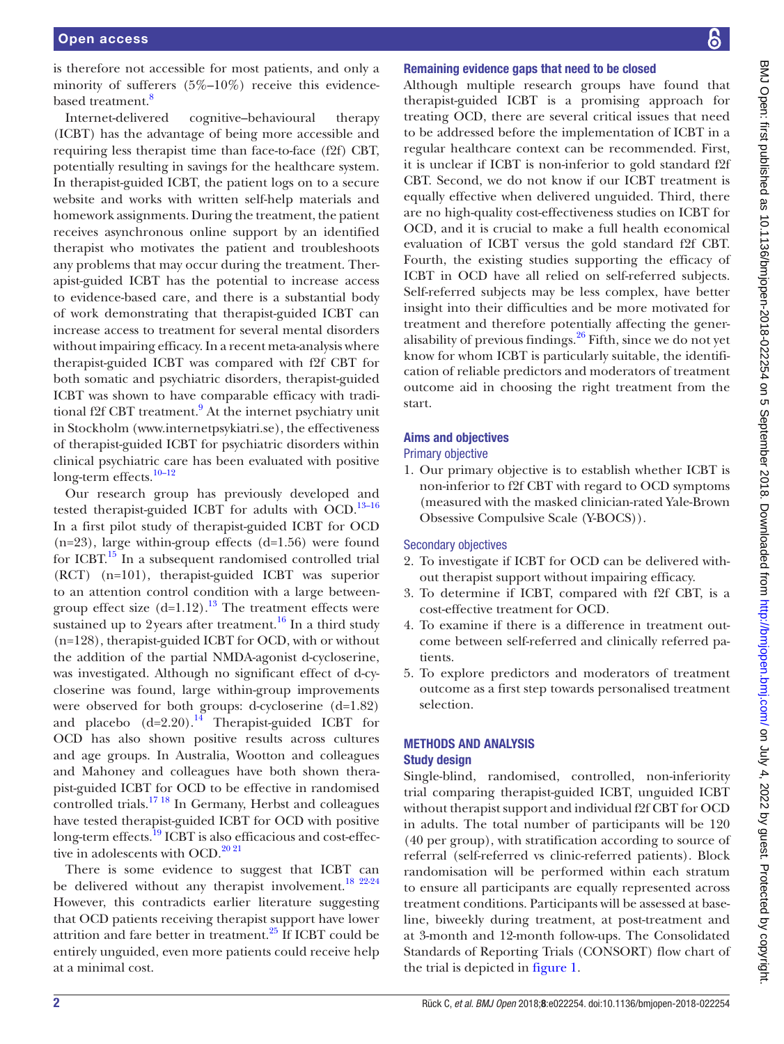is therefore not accessible for most patients, and only a minority of sufferers  $(5\%-10\%)$  receive this evidencebased treatment.<sup>8</sup>

Internet-delivered cognitive–behavioural therapy (ICBT) has the advantage of being more accessible and requiring less therapist time than face-to-face (f2f) CBT, potentially resulting in savings for the healthcare system. In therapist-guided ICBT, the patient logs on to a secure website and works with written self-help materials and homework assignments. During the treatment, the patient receives asynchronous online support by an identified therapist who motivates the patient and troubleshoots any problems that may occur during the treatment. Therapist-guided ICBT has the potential to increase access to evidence-based care, and there is a substantial body of work demonstrating that therapist-guided ICBT can increase access to treatment for several mental disorders without impairing efficacy. In a recent meta-analysis where therapist-guided ICBT was compared with f2f CBT for both somatic and psychiatric disorders, therapist-guided ICBT was shown to have comparable efficacy with tradi-tional f2f CBT treatment.<sup>[9](#page-6-8)</sup> At the internet psychiatry unit in Stockholm ([www.internetpsykiatri.se\)](www.internetpsykiatri.se), the effectiveness of therapist-guided ICBT for psychiatric disorders within clinical psychiatric care has been evaluated with positive long-term effects.<sup>10-12</sup>

Our research group has previously developed and tested therapist-guided ICBT for adults with OCD.<sup>13-16</sup> In a first pilot study of therapist-guided ICBT for OCD  $(n=23)$ , large within-group effects  $(d=1.56)$  were found for ICBT.[15](#page-7-0) In a subsequent randomised controlled trial (RCT) (n=101), therapist-guided ICBT was superior to an attention control condition with a large betweengroup effect size  $(d=1.12)$ .<sup>13</sup> The treatment effects were sustained up to 2years after treatment.<sup>[16](#page-7-1)</sup> In a third study (n=128), therapist-guided ICBT for OCD, with or without the addition of the partial NMDA-agonist d-cycloserine, was investigated. Although no significant effect of d-cycloserine was found, large within-group improvements were observed for both groups: d-cycloserine (d=1.82) and placebo  $(d=2.20)$ .<sup>[14](#page-6-11)</sup> Therapist-guided ICBT for OCD has also shown positive results across cultures and age groups. In Australia, Wootton and colleagues and Mahoney and colleagues have both shown therapist-guided ICBT for OCD to be effective in randomised controlled trials.<sup>17 18</sup> In Germany, Herbst and colleagues have tested therapist-guided ICBT for OCD with positive long-term effects.<sup>19</sup> ICBT is also efficacious and cost-effective in adolescents with OCD. $20\frac{20\frac{21}{21}}{20\frac{21}{21}}$ 

There is some evidence to suggest that ICBT can be delivered without any therapist involvement.<sup>18 22-24</sup> However, this contradicts earlier literature suggesting that OCD patients receiving therapist support have lower attrition and fare better in treatment. $25$  If ICBT could be entirely unguided, even more patients could receive help at a minimal cost.

# Remaining evidence gaps that need to be closed

Although multiple research groups have found that therapist-guided ICBT is a promising approach for treating OCD, there are several critical issues that need to be addressed before the implementation of ICBT in a regular healthcare context can be recommended. First, it is unclear if ICBT is non-inferior to gold standard f2f CBT. Second, we do not know if our ICBT treatment is equally effective when delivered unguided. Third, there are no high-quality cost-effectiveness studies on ICBT for OCD, and it is crucial to make a full health economical evaluation of ICBT versus the gold standard f2f CBT. Fourth, the existing studies supporting the efficacy of ICBT in OCD have all relied on self-referred subjects. Self-referred subjects may be less complex, have better insight into their difficulties and be more motivated for treatment and therefore potentially affecting the generalisability of previous findings.[26](#page-7-7) Fifth, since we do not yet know for whom ICBT is particularly suitable, the identification of reliable predictors and moderators of treatment outcome aid in choosing the right treatment from the start.

# Aims and objectives

# Primary objective

1. Our primary objective is to establish whether ICBT is non-inferior to f2f CBT with regard to OCD symptoms (measured with the masked clinician-rated Yale-Brown Obsessive Compulsive Scale (Y-BOCS)).

# Secondary objectives

- 2. To investigate if ICBT for OCD can be delivered without therapist support without impairing efficacy.
- 3. To determine if ICBT, compared with f2f CBT, is a cost-effective treatment for OCD.
- 4. To examine if there is a difference in treatment outcome between self-referred and clinically referred patients.
- 5. To explore predictors and moderators of treatment outcome as a first step towards personalised treatment selection.

# Methods and analysis

# Study design

Single-blind, randomised, controlled, non-inferiority trial comparing therapist-guided ICBT, unguided ICBT without therapist support and individual f2f CBT for OCD in adults. The total number of participants will be 120 (40 per group), with stratification according to source of referral (self-referred vs clinic-referred patients). Block randomisation will be performed within each stratum to ensure all participants are equally represented across treatment conditions. Participants will be assessed at baseline, biweekly during treatment, at post-treatment and at 3-month and 12-month follow-ups. The Consolidated Standards of Reporting Trials (CONSORT) flow chart of the trial is depicted in [figure](#page-2-0) 1.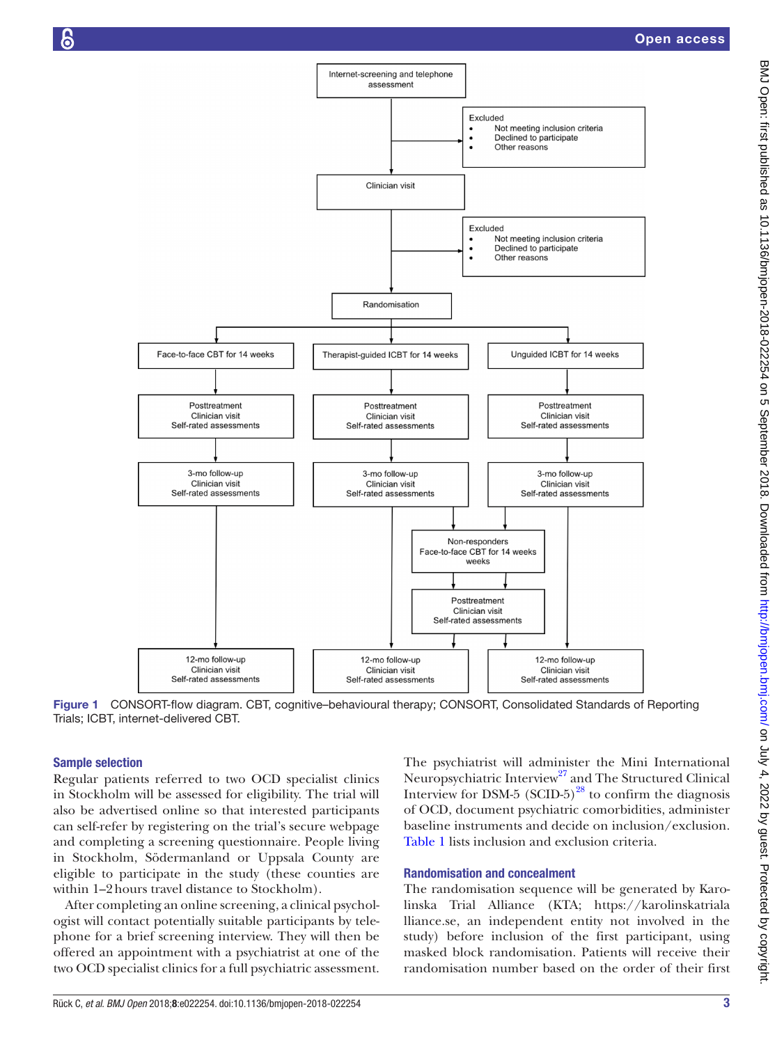

<span id="page-2-0"></span>Figure 1 CONSORT-flow diagram. CBT, cognitive–behavioural therapy; CONSORT, Consolidated Standards of Reporting Trials; ICBT, internet-delivered CBT.

## Sample selection

Regular patients referred to two OCD specialist clinics in Stockholm will be assessed for eligibility. The trial will also be advertised online so that interested participants can self-refer by registering on the trial's secure webpage and completing a screening questionnaire. People living in Stockholm, Södermanland or Uppsala County are eligible to participate in the study (these counties are within 1–2hours travel distance to Stockholm).

After completing an online screening, a clinical psychologist will contact potentially suitable participants by telephone for a brief screening interview. They will then be offered an appointment with a psychiatrist at one of the two OCD specialist clinics for a full psychiatric assessment.

The psychiatrist will administer the Mini International Neuropsychiatric Interview<sup>27</sup> and The Structured Clinical Interview for DSM-5 (SCID-5) $^{28}$  to confirm the diagnosis of OCD, document psychiatric comorbidities, administer baseline instruments and decide on inclusion/exclusion. [Table](#page-3-0) 1 lists inclusion and exclusion criteria.

## Randomisation and concealment

The randomisation sequence will be generated by Karolinska Trial Alliance (KTA; [https://karolinskatriala](https://karolinskatrialalliance.se) [lliance.se,](https://karolinskatrialalliance.se) an independent entity not involved in the study) before inclusion of the first participant, using masked block randomisation. Patients will receive their randomisation number based on the order of their first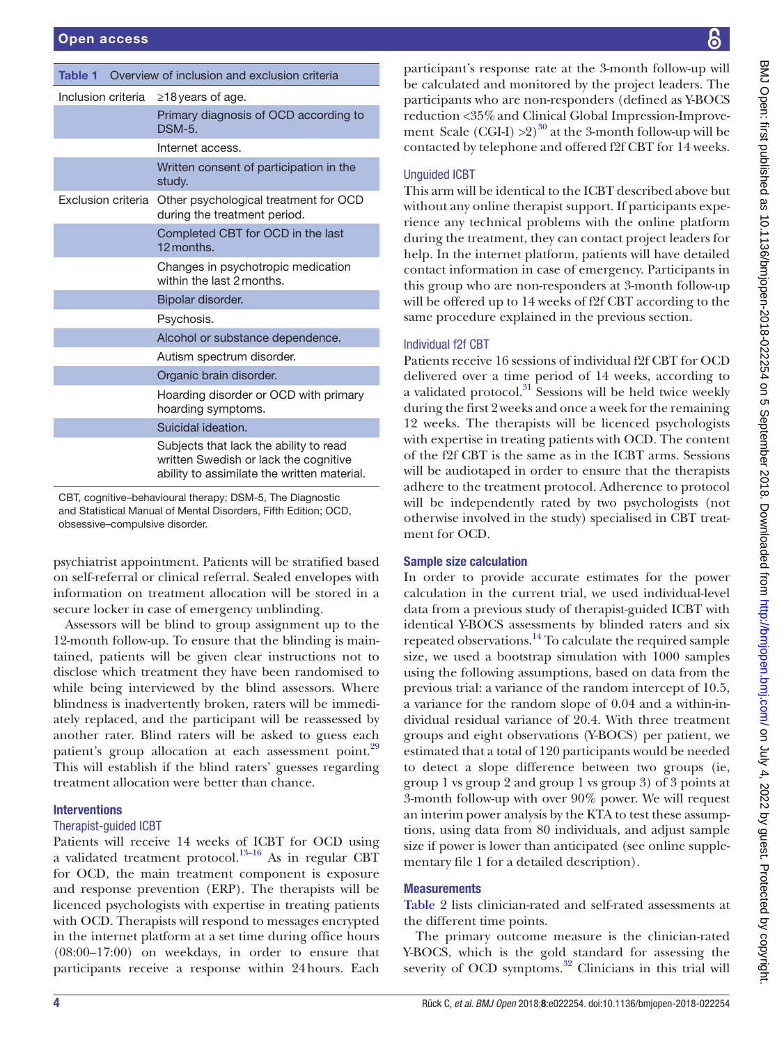<span id="page-3-0"></span>

| <b>Table 1</b> Overview of inclusion and exclusion criteria |                                                                                                                                |  |  |  |  |
|-------------------------------------------------------------|--------------------------------------------------------------------------------------------------------------------------------|--|--|--|--|
| Inclusion criteria                                          | $\geq$ 18 years of age.                                                                                                        |  |  |  |  |
|                                                             | Primary diagnosis of OCD according to<br>DSM-5.                                                                                |  |  |  |  |
|                                                             | Internet access.                                                                                                               |  |  |  |  |
|                                                             | Written consent of participation in the<br>study.                                                                              |  |  |  |  |
| Exclusion criteria                                          | Other psychological treatment for OCD<br>during the treatment period.                                                          |  |  |  |  |
|                                                             | Completed CBT for OCD in the last<br>12 months.                                                                                |  |  |  |  |
|                                                             | Changes in psychotropic medication<br>within the last 2 months.                                                                |  |  |  |  |
|                                                             | Bipolar disorder.                                                                                                              |  |  |  |  |
|                                                             | Psychosis.                                                                                                                     |  |  |  |  |
|                                                             | Alcohol or substance dependence.                                                                                               |  |  |  |  |
|                                                             | Autism spectrum disorder.                                                                                                      |  |  |  |  |
|                                                             | Organic brain disorder.                                                                                                        |  |  |  |  |
|                                                             | Hoarding disorder or OCD with primary<br>hoarding symptoms.                                                                    |  |  |  |  |
|                                                             | Suicidal ideation.                                                                                                             |  |  |  |  |
|                                                             | Subjects that lack the ability to read<br>written Swedish or lack the cognitive<br>ability to assimilate the written material. |  |  |  |  |

CBT, cognitive–behavioural therapy; DSM-5, The Diagnostic and Statistical Manual of Mental Disorders, Fifth Edition; OCD, obsessive–compulsive disorder.

psychiatrist appointment. Patients will be stratified based on self-referral or clinical referral. Sealed envelopes with information on treatment allocation will be stored in a secure locker in case of emergency unblinding.

Assessors will be blind to group assignment up to the 12-month follow-up. To ensure that the blinding is maintained, patients will be given clear instructions not to disclose which treatment they have been randomised to while being interviewed by the blind assessors. Where blindness is inadvertently broken, raters will be immediately replaced, and the participant will be reassessed by another rater. Blind raters will be asked to guess each patient's group allocation at each assessment point.<sup>[29](#page-7-10)</sup> This will establish if the blind raters' guesses regarding treatment allocation were better than chance.

# **Interventions**

## Therapist-guided ICBT

Patients will receive 14 weeks of ICBT for OCD using a validated treatment protocol.<sup>13–16</sup> As in regular CBT for OCD, the main treatment component is exposure and response prevention (ERP). The therapists will be licenced psychologists with expertise in treating patients with OCD. Therapists will respond to messages encrypted in the internet platform at a set time during office hours (08:00–17:00) on weekdays, in order to ensure that participants receive a response within 24hours. Each

participant's response rate at the 3-month follow-up will be calculated and monitored by the project leaders. The participants who are non-responders (defined as Y-BOCS reduction <35%and Clinical Global Impression-Improvement Scale (CGI-I)  $>2$ )<sup>30</sup> at the 3-month follow-up will be contacted by telephone and offered f2f CBT for 14 weeks.

# Unguided ICBT

This arm will be identical to the ICBT described above but without any online therapist support. If participants experience any technical problems with the online platform during the treatment, they can contact project leaders for help. In the internet platform, patients will have detailed contact information in case of emergency. Participants in this group who are non-responders at 3-month follow-up will be offered up to 14 weeks of f2f CBT according to the same procedure explained in the previous section.

# Individual f2f CBT

Patients receive 16 sessions of individual f2f CBT for OCD delivered over a time period of 14 weeks, according to a validated protocol.<sup>[31](#page-7-12)</sup> Sessions will be held twice weekly during the first 2weeks and once a week for the remaining 12 weeks. The therapists will be licenced psychologists with expertise in treating patients with OCD. The content of the f2f CBT is the same as in the ICBT arms. Sessions will be audiotaped in order to ensure that the therapists adhere to the treatment protocol. Adherence to protocol will be independently rated by two psychologists (not otherwise involved in the study) specialised in CBT treatment for OCD.

# Sample size calculation

In order to provide accurate estimates for the power calculation in the current trial, we used individual-level data from a previous study of therapist-guided ICBT with identical Y-BOCS assessments by blinded raters and six repeated observations.<sup>[14](#page-6-11)</sup> To calculate the required sample size, we used a bootstrap simulation with 1000 samples using the following assumptions, based on data from the previous trial: a variance of the random intercept of 10.5, a variance for the random slope of 0.04 and a within-individual residual variance of 20.4. With three treatment groups and eight observations (Y-BOCS) per patient, we estimated that a total of 120 participants would be needed to detect a slope difference between two groups (ie, group 1 vs group 2 and group 1 vs group 3) of 3 points at 3-month follow-up with over 90% power. We will request an interim power analysis by the KTA to test these assumptions, using data from 80 individuals, and adjust sample size if power is lower than anticipated (see online [supple](https://dx.doi.org/10.1136/bmjopen-2018-022254)[mentary file 1](https://dx.doi.org/10.1136/bmjopen-2018-022254) for a detailed description).

# **Measurements**

[Table](#page-4-0) 2 lists clinician-rated and self-rated assessments at the different time points.

The primary outcome measure is the clinician-rated Y-BOCS, which is the gold standard for assessing the severity of OCD symptoms.<sup>32</sup> Clinicians in this trial will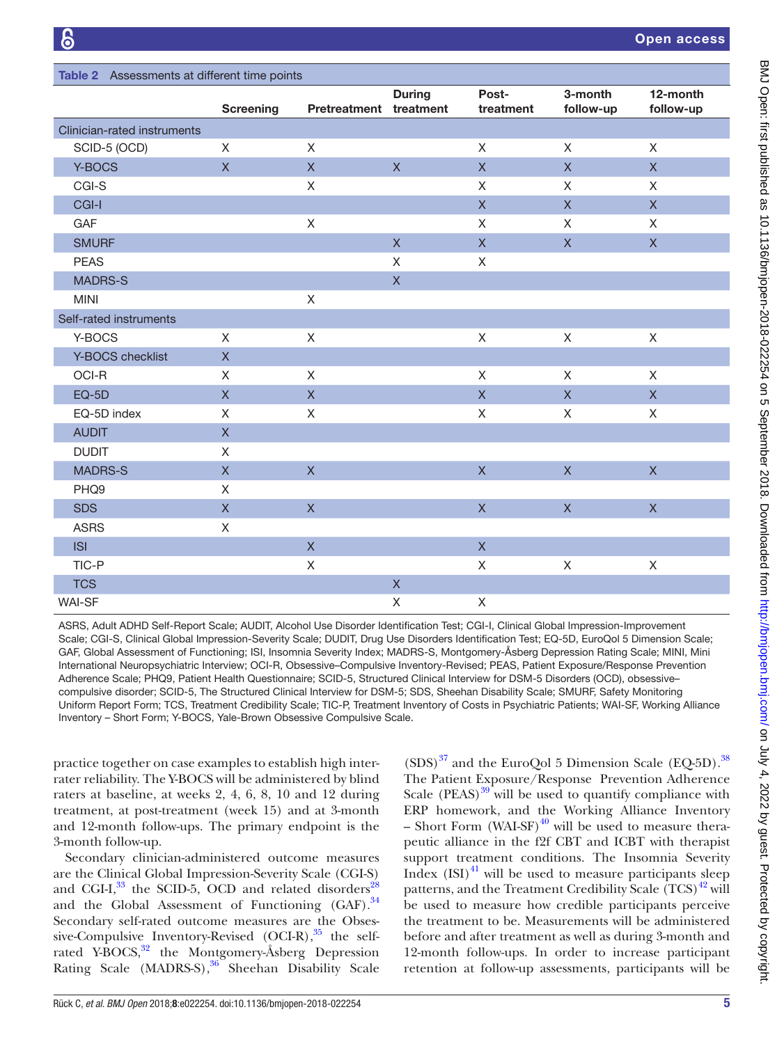<span id="page-4-0"></span>

| Table 2 Assessments at different time points |                         |                         |                |                         |                         |                       |  |  |
|----------------------------------------------|-------------------------|-------------------------|----------------|-------------------------|-------------------------|-----------------------|--|--|
|                                              | <b>Screening</b>        | Pretreatment treatment  | <b>During</b>  | Post-<br>treatment      | 3-month<br>follow-up    | 12-month<br>follow-up |  |  |
| Clinician-rated instruments                  |                         |                         |                |                         |                         |                       |  |  |
| SCID-5 (OCD)                                 | $\mathsf{X}$            | $\mathsf X$             |                | $\mathsf{X}$            | $\mathsf{X}$            | $\mathsf{X}$          |  |  |
| Y-BOCS                                       | $\mathsf{X}$            | $\mathsf X$             | $\mathsf X$    | $\mathsf X$             | X                       | $\mathsf{X}$          |  |  |
| CGI-S                                        |                         | $\mathsf X$             |                | X                       | X                       | X                     |  |  |
| CGI-I                                        |                         |                         |                | $\mathsf X$             | $\mathsf X$             | $\mathsf{X}$          |  |  |
| GAF                                          |                         | X                       |                | X                       | X                       | $\mathsf{X}$          |  |  |
| <b>SMURF</b>                                 |                         |                         | $\overline{X}$ | $\mathsf X$             | $\mathsf{X}$            | $\mathsf{X}$          |  |  |
| <b>PEAS</b>                                  |                         |                         | $\mathsf{X}$   | X                       |                         |                       |  |  |
| <b>MADRS-S</b>                               |                         |                         | $\mathsf X$    |                         |                         |                       |  |  |
| <b>MINI</b>                                  |                         | $\mathsf X$             |                |                         |                         |                       |  |  |
| Self-rated instruments                       |                         |                         |                |                         |                         |                       |  |  |
| Y-BOCS                                       | $\mathsf{X}$            | $\mathsf X$             |                | X                       | $\mathsf{X}$            | $\mathsf X$           |  |  |
| Y-BOCS checklist                             | $\mathsf{X}$            |                         |                |                         |                         |                       |  |  |
| OCI-R                                        | X                       | X                       |                | X                       | X                       | X                     |  |  |
| $EQ-5D$                                      | $\mathsf{X}$            | $\overline{\mathsf{X}}$ |                | $\mathsf X$             | $\mathsf{X}$            | $\mathsf{X}$          |  |  |
| EQ-5D index                                  | X                       | X                       |                | X                       | X                       | X                     |  |  |
| <b>AUDIT</b>                                 | $\overline{\mathsf{X}}$ |                         |                |                         |                         |                       |  |  |
| <b>DUDIT</b>                                 | X                       |                         |                |                         |                         |                       |  |  |
| <b>MADRS-S</b>                               | $\mathsf{X}$            | $\mathsf{X}$            |                | $\mathsf{X}$            | $\overline{\mathsf{x}}$ | $\mathsf{X}$          |  |  |
| PHQ9                                         | $\mathsf{X}$            |                         |                |                         |                         |                       |  |  |
| <b>SDS</b>                                   | $\mathsf X$             | $\mathsf{X}$            |                | $\mathsf{X}$            | $\mathsf{X}$            | $\mathsf{X}$          |  |  |
| <b>ASRS</b>                                  | $\mathsf X$             |                         |                |                         |                         |                       |  |  |
| <b>ISI</b>                                   |                         | $\overline{\mathsf{X}}$ |                | $\overline{\mathsf{X}}$ |                         |                       |  |  |
| TIC-P                                        |                         | X                       |                | X                       | $\mathsf X$             | $\mathsf X$           |  |  |
| <b>TCS</b>                                   |                         |                         | $\mathsf X$    |                         |                         |                       |  |  |
| <b>WAI-SF</b>                                |                         |                         | Χ              | Χ                       |                         |                       |  |  |

ASRS, Adult ADHD Self-Report Scale; AUDIT, Alcohol Use Disorder Identification Test; CGI-I, Clinical Global Impression-Improvement Scale; CGI-S, Clinical Global Impression-Severity Scale; DUDIT, Drug Use Disorders Identification Test; EQ-5D, EuroQol 5 Dimension Scale; GAF, Global Assessment of Functioning; ISI, Insomnia Severity Index; MADRS-S, Montgomery-Åsberg Depression Rating Scale; MINI, Mini International Neuropsychiatric Interview; OCI-R, Obsessive–Compulsive Inventory-Revised; PEAS, Patient Exposure/Response Prevention Adherence Scale; PHQ9, Patient Health Questionnaire; SCID-5, Structured Clinical Interview for DSM-5 Disorders (OCD), obsessive– compulsive disorder; SCID-5, The Structured Clinical Interview for DSM-5; SDS, Sheehan Disability Scale; SMURF, Safety Monitoring Uniform Report Form; TCS, Treatment Credibility Scale; TIC-P, Treatment Inventory of Costs in Psychiatric Patients; WAI-SF, Working Alliance Inventory – Short Form; Y-BOCS, Yale-Brown Obsessive Compulsive Scale.

practice together on case examples to establish high interrater reliability. The Y-BOCS will be administered by blind raters at baseline, at weeks 2, 4, 6, 8, 10 and 12 during treatment, at post-treatment (week 15) and at 3-month and 12-month follow-ups. The primary endpoint is the 3-month follow-up.

Secondary clinician-administered outcome measures are the Clinical Global Impression-Severity Scale (CGI-S) and CGI-I, $^{33}$  $^{33}$  $^{33}$  the SCID-5, OCD and related disorders<sup>28</sup> and the Global Assessment of Functioning  $(GAF)$ .<sup>34</sup> Secondary self-rated outcome measures are the Obsessive-Compulsive Inventory-Revised  $(OCI-R),$ <sup>35</sup> the selfrated Y-BOCS,<sup>32</sup> the Montgomery-Åsberg Depression Rating Scale (MADRS-S),<sup>36</sup> Sheehan Disability Scale

 $(SDS)^{37}$  and the EuroQol 5 Dimension Scale (EQ-5D).<sup>[38](#page-7-19)</sup> The Patient Exposure/Response Prevention Adherence Scale  $(PEAS)^{39}$  $(PEAS)^{39}$  $(PEAS)^{39}$  will be used to quantify compliance with ERP homework, and the Working Alliance Inventory – Short Form (WAI-SF) $^{40}$  $^{40}$  $^{40}$  will be used to measure therapeutic alliance in the f2f CBT and ICBT with therapist support treatment conditions. The Insomnia Severity Index  $(ISI)^{41}$  $(ISI)^{41}$  $(ISI)^{41}$  will be used to measure participants sleep patterns, and the Treatment Credibility Scale  $(TCS)^{42}$  will be used to measure how credible participants perceive the treatment to be. Measurements will be administered before and after treatment as well as during 3-month and 12-month follow-ups. In order to increase participant retention at follow-up assessments, participants will be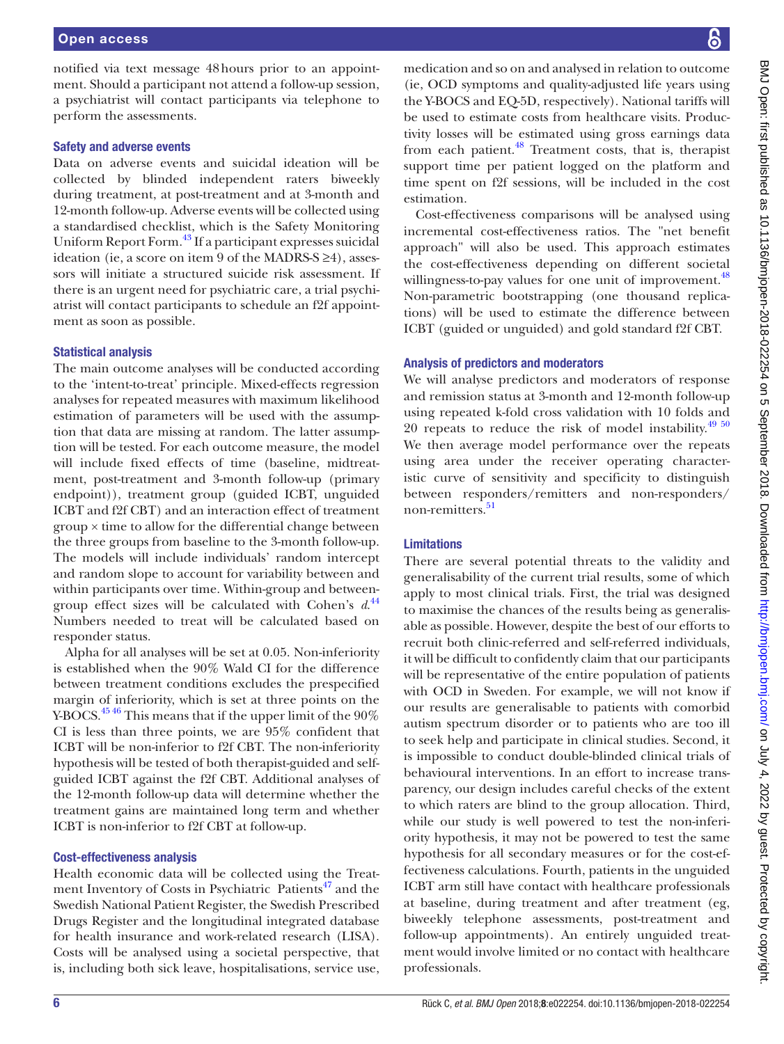notified via text message 48hours prior to an appointment. Should a participant not attend a follow-up session, a psychiatrist will contact participants via telephone to perform the assessments.

## Safety and adverse events

Data on adverse events and suicidal ideation will be collected by blinded independent raters biweekly during treatment, at post-treatment and at 3-month and 12-month follow-up. Adverse events will be collected using a standardised checklist, which is the Safety Monitoring Uniform Report Form.<sup>43</sup> If a participant expresses suicidal ideation (ie, a score on item 9 of the MADRS-S ≥4), assessors will initiate a structured suicide risk assessment. If there is an urgent need for psychiatric care, a trial psychiatrist will contact participants to schedule an f2f appointment as soon as possible.

## Statistical analysis

The main outcome analyses will be conducted according to the 'intent-to-treat' principle. Mixed-effects regression analyses for repeated measures with maximum likelihood estimation of parameters will be used with the assumption that data are missing at random. The latter assumption will be tested. For each outcome measure, the model will include fixed effects of time (baseline, midtreatment, post-treatment and 3-month follow-up (primary endpoint)), treatment group (guided ICBT, unguided ICBT and f2f CBT) and an interaction effect of treatment group × time to allow for the differential change between the three groups from baseline to the 3-month follow-up. The models will include individuals' random intercept and random slope to account for variability between and within participants over time. Within-group and betweengroup effect sizes will be calculated with Cohen's *d*. [44](#page-7-25) Numbers needed to treat will be calculated based on responder status.

Alpha for all analyses will be set at 0.05. Non-inferiority is established when the 90% Wald CI for the difference between treatment conditions excludes the prespecified margin of inferiority, which is set at three points on the Y-BOCS.<sup>[45 46](#page-7-26)</sup> This means that if the upper limit of the 90% CI is less than three points, we are 95% confident that ICBT will be non-inferior to f2f CBT. The non-inferiority hypothesis will be tested of both therapist-guided and selfguided ICBT against the f2f CBT. Additional analyses of the 12-month follow-up data will determine whether the treatment gains are maintained long term and whether ICBT is non-inferior to f2f CBT at follow-up.

## Cost-effectiveness analysis

Health economic data will be collected using the Treatment Inventory of Costs in Psychiatric Patients<sup>47</sup> and the Swedish National Patient Register, the Swedish Prescribed Drugs Register and the longitudinal integrated database for health insurance and work-related research (LISA). Costs will be analysed using a societal perspective, that is, including both sick leave, hospitalisations, service use, medication and so on and analysed in relation to outcome (ie, OCD symptoms and quality-adjusted life years using the Y-BOCS and EQ-5D, respectively). National tariffs will be used to estimate costs from healthcare visits. Productivity losses will be estimated using gross earnings data from each patient. $48$  Treatment costs, that is, therapist support time per patient logged on the platform and time spent on f2f sessions, will be included in the cost Cost-effectiveness comparisons will be analysed using incremental cost-effectiveness ratios. The "net benefit

approach" will also be used. This approach estimates the cost-effectiveness depending on different societal willingness-to-pay values for one unit of improvement.<sup>[48](#page-7-28)</sup> Non-parametric bootstrapping (one thousand replications) will be used to estimate the difference between ICBT (guided or unguided) and gold standard f2f CBT.

## Analysis of predictors and moderators

We will analyse predictors and moderators of response and remission status at 3-month and 12-month follow-up using repeated k-fold cross validation with 10 folds and 20 repeats to reduce the risk of model instability. $49\frac{50}{2}$ We then average model performance over the repeats using area under the receiver operating characteristic curve of sensitivity and specificity to distinguish between responders/remitters and non-responders/ non-remitters.<sup>[51](#page-7-30)</sup>

# Limitations

estimation.

There are several potential threats to the validity and generalisability of the current trial results, some of which apply to most clinical trials. First, the trial was designed to maximise the chances of the results being as generalisable as possible. However, despite the best of our efforts to recruit both clinic-referred and self-referred individuals, it will be difficult to confidently claim that our participants will be representative of the entire population of patients with OCD in Sweden. For example, we will not know if our results are generalisable to patients with comorbid autism spectrum disorder or to patients who are too ill to seek help and participate in clinical studies. Second, it is impossible to conduct double-blinded clinical trials of behavioural interventions. In an effort to increase transparency, our design includes careful checks of the extent to which raters are blind to the group allocation. Third, while our study is well powered to test the non-inferiority hypothesis, it may not be powered to test the same hypothesis for all secondary measures or for the cost-effectiveness calculations. Fourth, patients in the unguided ICBT arm still have contact with healthcare professionals at baseline, during treatment and after treatment (eg, biweekly telephone assessments, post-treatment and follow-up appointments). An entirely unguided treatment would involve limited or no contact with healthcare professionals.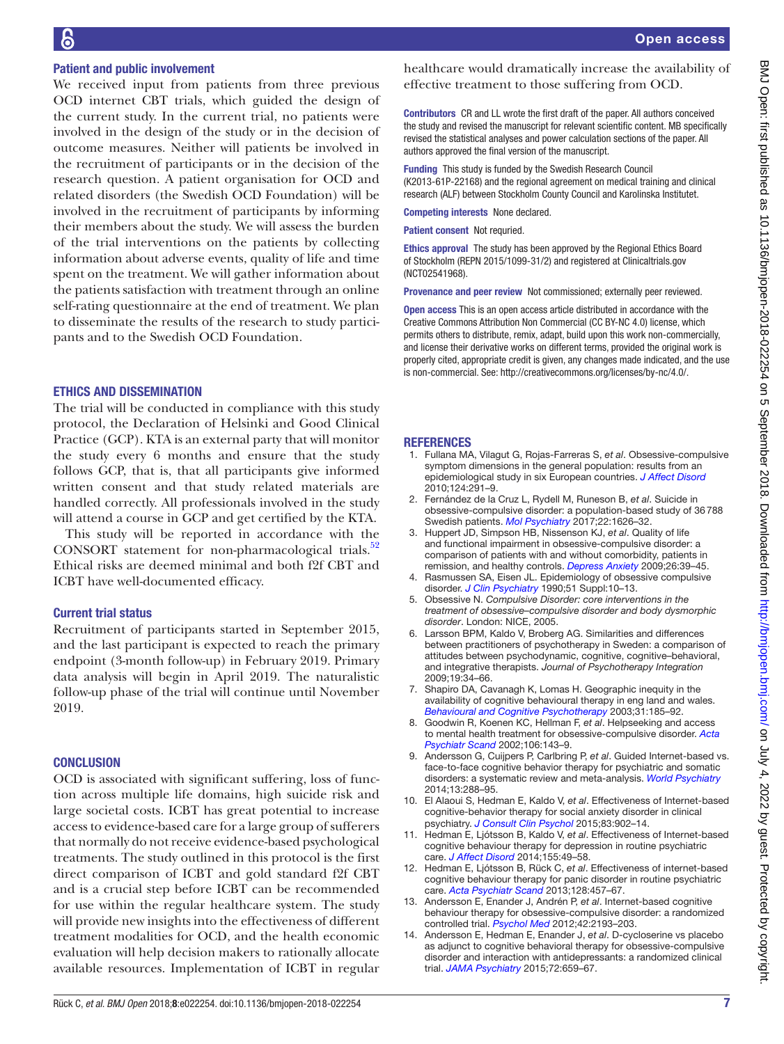## Patient and public involvement

We received input from patients from three previous OCD internet CBT trials, which guided the design of the current study. In the current trial, no patients were involved in the design of the study or in the decision of outcome measures. Neither will patients be involved in the recruitment of participants or in the decision of the research question. A patient organisation for OCD and related disorders (the Swedish OCD Foundation) will be involved in the recruitment of participants by informing their members about the study. We will assess the burden of the trial interventions on the patients by collecting information about adverse events, quality of life and time spent on the treatment. We will gather information about the patients satisfaction with treatment through an online self-rating questionnaire at the end of treatment. We plan to disseminate the results of the research to study participants and to the Swedish OCD Foundation.

## Ethics and dissemination

The trial will be conducted in compliance with this study protocol, the Declaration of Helsinki and Good Clinical Practice (GCP). KTA is an external party that will monitor the study every 6 months and ensure that the study follows GCP, that is, that all participants give informed written consent and that study related materials are handled correctly. All professionals involved in the study will attend a course in GCP and get certified by the KTA.

This study will be reported in accordance with the CONSORT statement for non-pharmacological trials. $52$ Ethical risks are deemed minimal and both f2f CBT and ICBT have well-documented efficacy.

#### Current trial status

Recruitment of participants started in September 2015, and the last participant is expected to reach the primary endpoint (3-month follow-up) in February 2019. Primary data analysis will begin in April 2019. The naturalistic follow-up phase of the trial will continue until November 2019.

#### **CONCLUSION**

OCD is associated with significant suffering, loss of function across multiple life domains, high suicide risk and large societal costs. ICBT has great potential to increase access to evidence-based care for a large group of sufferers that normally do not receive evidence-based psychological treatments. The study outlined in this protocol is the first direct comparison of ICBT and gold standard f2f CBT and is a crucial step before ICBT can be recommended for use within the regular healthcare system. The study will provide new insights into the effectiveness of different treatment modalities for OCD, and the health economic evaluation will help decision makers to rationally allocate available resources. Implementation of ICBT in regular

healthcare would dramatically increase the availability of effective treatment to those suffering from OCD.

Contributors CR and LL wrote the first draft of the paper. All authors conceived the study and revised the manuscript for relevant scientific content. MB specifically revised the statistical analyses and power calculation sections of the paper. All authors approved the final version of the manuscript.

Funding This study is funded by the Swedish Research Council (K2013-61P-22168) and the regional agreement on medical training and clinical research (ALF) between Stockholm County Council and Karolinska Institutet.

Competing interests None declared.

Patient consent Not requried.

Ethics approval The study has been approved by the Regional Ethics Board of Stockholm (REPN 2015/1099-31/2) and registered at Clinicaltrials.gov (NCT02541968).

Provenance and peer review Not commissioned; externally peer reviewed.

Open access This is an open access article distributed in accordance with the Creative Commons Attribution Non Commercial (CC BY-NC 4.0) license, which permits others to distribute, remix, adapt, build upon this work non-commercially, and license their derivative works on different terms, provided the original work is properly cited, appropriate credit is given, any changes made indicated, and the use is non-commercial. See: [http://creativecommons.org/licenses/by-nc/4.0/.](http://creativecommons.org/licenses/by-nc/4.0/)

#### **REFERENCES**

- <span id="page-6-0"></span>1. Fullana MA, Vilagut G, Rojas-Farreras S, *et al*. Obsessive-compulsive symptom dimensions in the general population: results from an epidemiological study in six European countries. *[J Affect Disord](http://dx.doi.org/10.1016/j.jad.2009.11.020)* 2010;124:291–9.
- <span id="page-6-1"></span>2. Fernández de la Cruz L, Rydell M, Runeson B, *et al*. Suicide in obsessive-compulsive disorder: a population-based study of 36788 Swedish patients. *[Mol Psychiatry](http://dx.doi.org/10.1038/mp.2016.115)* 2017;22:1626–32.
- <span id="page-6-2"></span>3. Huppert JD, Simpson HB, Nissenson KJ, *et al*. Quality of life and functional impairment in obsessive-compulsive disorder: a comparison of patients with and without comorbidity, patients in remission, and healthy controls. *[Depress Anxiety](http://dx.doi.org/10.1002/da.20506)* 2009;26:39–45.
- <span id="page-6-3"></span>4. Rasmussen SA, Eisen JL. Epidemiology of obsessive compulsive disorder. *[J Clin Psychiatry](http://www.ncbi.nlm.nih.gov/pubmed/2404965)* 1990;51 Suppl:10–13.
- <span id="page-6-4"></span>5. Obsessive N. *Compulsive Disorder: core interventions in the treatment of obsessive–compulsive disorder and body dysmorphic disorder*. London: NICE, 2005.
- <span id="page-6-5"></span>Larsson BPM, Kaldo V, Broberg AG. Similarities and differences between practitioners of psychotherapy in Sweden: a comparison of attitudes between psychodynamic, cognitive, cognitive–behavioral, and integrative therapists. *Journal of Psychotherapy Integration* 2009;19:34–66.
- <span id="page-6-6"></span>7. Shapiro DA, Cavanagh K, Lomas H. Geographic inequity in the availability of cognitive behavioural therapy in eng land and wales. *[Behavioural and Cognitive Psychotherapy](http://dx.doi.org/10.1017/S1352465803002066)* 2003;31:185–92.
- <span id="page-6-7"></span>8. Goodwin R, Koenen KC, Hellman F, *et al*. Helpseeking and access to mental health treatment for obsessive-compulsive disorder. *[Acta](http://dx.doi.org/10.1034/j.1600-0447.2002.01221.x)  [Psychiatr Scand](http://dx.doi.org/10.1034/j.1600-0447.2002.01221.x)* 2002;106:143–9.
- <span id="page-6-8"></span>9. Andersson G, Cuijpers P, Carlbring P, *et al*. Guided Internet-based vs. face-to-face cognitive behavior therapy for psychiatric and somatic disorders: a systematic review and meta-analysis. *[World Psychiatry](http://dx.doi.org/10.1002/wps.20151)* 2014;13:288–95.
- <span id="page-6-9"></span>10. El Alaoui S, Hedman E, Kaldo V, *et al*. Effectiveness of Internet-based cognitive-behavior therapy for social anxiety disorder in clinical psychiatry. *[J Consult Clin Psychol](http://dx.doi.org/10.1037/a0039198)* 2015;83:902–14.
- 11. Hedman E, Ljótsson B, Kaldo V, *et al*. Effectiveness of Internet-based cognitive behaviour therapy for depression in routine psychiatric care. *[J Affect Disord](http://dx.doi.org/10.1016/j.jad.2013.10.023)* 2014;155:49–58.
- 12. Hedman E, Ljótsson B, Rück C, *et al*. Effectiveness of internet-based cognitive behaviour therapy for panic disorder in routine psychiatric care. *[Acta Psychiatr Scand](http://dx.doi.org/10.1111/acps.12079)* 2013;128:457–67.
- <span id="page-6-10"></span>13. Andersson E, Enander J, Andrén P, *et al*. Internet-based cognitive behaviour therapy for obsessive-compulsive disorder: a randomized controlled trial. *[Psychol Med](http://dx.doi.org/10.1017/S0033291712000244)* 2012;42:2193–203.
- <span id="page-6-11"></span>14. Andersson E, Hedman E, Enander J, *et al*. D-cycloserine vs placebo as adjunct to cognitive behavioral therapy for obsessive-compulsive disorder and interaction with antidepressants: a randomized clinical trial. *[JAMA Psychiatry](http://dx.doi.org/10.1001/jamapsychiatry.2015.0546)* 2015;72:659–67.